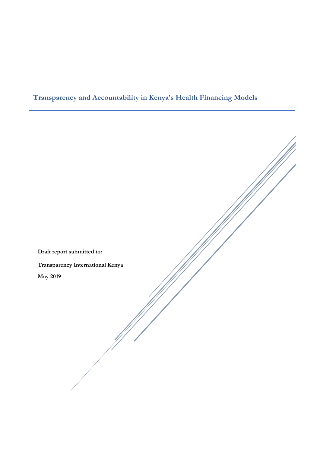## **Transparency and Accountability in Kenya's Health Financing Models**

**Draft report submitted to: Transparency International Kenya May 2019**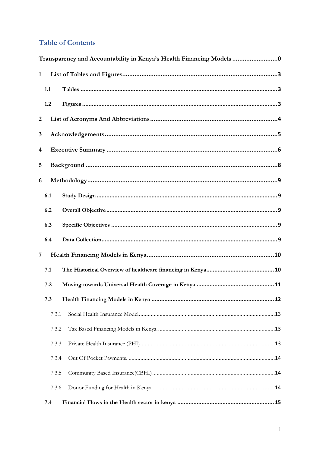## **Table of Contents**

|              | Transparency and Accountability in Kenya's Health Financing Models0 |  |  |  |  |
|--------------|---------------------------------------------------------------------|--|--|--|--|
| $\mathbf{1}$ |                                                                     |  |  |  |  |
|              | 1.1                                                                 |  |  |  |  |
|              | 1.2                                                                 |  |  |  |  |
| 2            |                                                                     |  |  |  |  |
| 3            |                                                                     |  |  |  |  |
| 4            |                                                                     |  |  |  |  |
| 5            |                                                                     |  |  |  |  |
| 6            |                                                                     |  |  |  |  |
|              | 6.1                                                                 |  |  |  |  |
|              | 6.2                                                                 |  |  |  |  |
|              | 6.3                                                                 |  |  |  |  |
|              | 6.4                                                                 |  |  |  |  |
| 7            |                                                                     |  |  |  |  |
|              | 7.1                                                                 |  |  |  |  |
|              | 7.2                                                                 |  |  |  |  |
|              | 7.3                                                                 |  |  |  |  |
|              | 7.3.1                                                               |  |  |  |  |
|              | 7.3.2                                                               |  |  |  |  |
|              | 7.3.3                                                               |  |  |  |  |
|              | 7.3.4                                                               |  |  |  |  |
|              | 7.3.5                                                               |  |  |  |  |
|              | 7.3.6                                                               |  |  |  |  |
|              | 7.4                                                                 |  |  |  |  |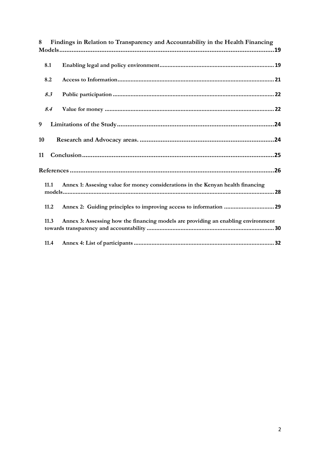| Findings in Relation to Transparency and Accountability in the Health Financing<br>8      |  |  |  |  |
|-------------------------------------------------------------------------------------------|--|--|--|--|
|                                                                                           |  |  |  |  |
| 8.1                                                                                       |  |  |  |  |
| 8.2                                                                                       |  |  |  |  |
| 8.3                                                                                       |  |  |  |  |
| 8.4                                                                                       |  |  |  |  |
| 9                                                                                         |  |  |  |  |
| 10                                                                                        |  |  |  |  |
| 11                                                                                        |  |  |  |  |
|                                                                                           |  |  |  |  |
| Annex 1: Assesing value for money considerations in the Kenyan health financing<br>11.1   |  |  |  |  |
| 11.2                                                                                      |  |  |  |  |
| 11.3<br>Annex 3: Assessing how the financing models are providing an enabling environment |  |  |  |  |
| 11.4                                                                                      |  |  |  |  |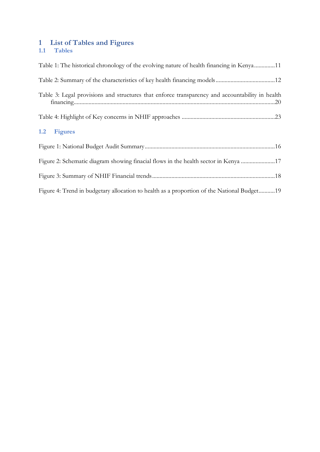### <span id="page-3-1"></span><span id="page-3-0"></span>**1 List of Tables and Figures 1.1 Tables**

<span id="page-3-2"></span>

| Table 1: The historical chronology of the evolving nature of health financing in Kenya11        |
|-------------------------------------------------------------------------------------------------|
|                                                                                                 |
| Table 3: Legal provisions and structures that enforce transparency and accountability in health |
|                                                                                                 |
| 1.2 Figures                                                                                     |
|                                                                                                 |
| Figure 2: Schematic diagram showing finacial flows in the health sector in Kenya 17             |
|                                                                                                 |
| Figure 4: Trend in budgetary allocation to health as a proportion of the National Budget19      |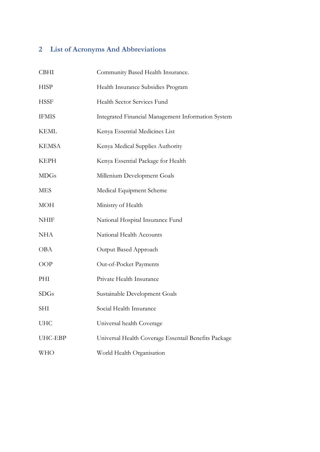# <span id="page-4-0"></span>**2 List of Acronyms And Abbreviations**

| <b>CBHI</b>  | Community Based Health Insurance.                    |
|--------------|------------------------------------------------------|
| <b>HISP</b>  | Health Insurance Subsidies Program                   |
| <b>HSSF</b>  | Health Sector Services Fund                          |
| <b>IFMIS</b> | Integrated Financial Management Information System   |
| <b>KEML</b>  | Kenya Essential Medicines List                       |
| <b>KEMSA</b> | Kenya Medical Supplies Authority                     |
| <b>KEPH</b>  | Kenya Essential Package for Health                   |
| <b>MDGs</b>  | Millenium Development Goals                          |
| <b>MES</b>   | Medical Equipment Scheme                             |
| <b>MOH</b>   | Ministry of Health                                   |
| <b>NHIF</b>  | National Hospital Insurance Fund                     |
| <b>NHA</b>   | National Health Accounts                             |
| <b>OBA</b>   | Output Based Approach                                |
| <b>OOP</b>   | Out-of-Pocket Payments                               |
| PHI          | Private Health Insurance                             |
| <b>SDGs</b>  | Sustainable Development Goals                        |
| <b>SHI</b>   | Social Health Insurance                              |
| <b>UHC</b>   | Universal health Coverage                            |
| UHC-EBP      | Universal Health Coverage Essentail Benefits Package |
| <b>WHO</b>   | World Health Organisation                            |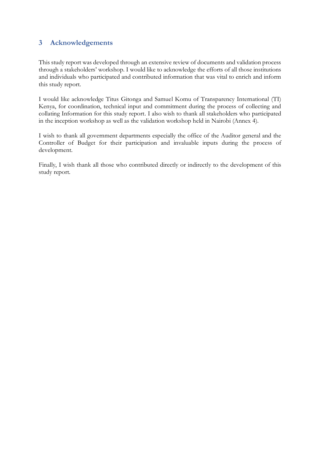## <span id="page-5-0"></span>**3 Acknowledgements**

This study report was developed through an extensive review of documents and validation process through a stakeholders' workshop. I would like to acknowledge the efforts of all those institutions and individuals who participated and contributed information that was vital to enrich and inform this study report.

I would like acknowledge Titus Gitonga and Samuel Komu of Transparency International (TI) Kenya, for coordination, technical input and commitment during the process of collecting and collating Information for this study report. I also wish to thank all stakeholders who participated in the inception workshop as well as the validation workshop held in Nairobi (Annex 4).

I wish to thank all government departments especially the office of the Auditor general and the Controller of Budget for their participation and invaluable inputs during the process of development.

Finally, I wish thank all those who contributed directly or indirectly to the development of this study report.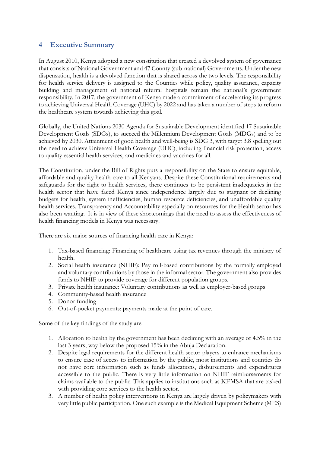#### <span id="page-6-0"></span>**4 Executive Summary**

In August 2010, Kenya adopted a new constitution that created a devolved system of governance that consists of National Government and 47 County (sub-national) Governments. Under the new dispensation, health is a devolved function that is shared across the two levels. The responsibility for health service delivery is assigned to the Counties while policy, quality assurance, capacity building and management of national referral hospitals remain the national's government responsibility. In 2017, the government of Kenya made a commitment of accelerating its progress to achieving Universal Health Coverage (UHC) by 2022 and has taken a number of steps to reform the healthcare system towards achieving this goal.

Globally, the United Nations 2030 Agenda for Sustainable Development identified 17 Sustainable Development Goals (SDGs), to succeed the Millennium Development Goals (MDGs) and to be achieved by 2030. Attainment of good health and well-being is SDG 3, with target 3.8 spelling out the need to achieve Universal Health Coverage (UHC), including financial risk protection, access to quality essential health services, and medicines and vaccines for all.

The Constitution, under the Bill of Rights puts a responsibility on the State to ensure equitable, affordable and quality health care to all Kenyans. Despite these Constitutional requirements and safeguards for the right to health services, there continues to be persistent inadequacies in the health sector that have faced Kenya since independence largely due to stagnant or declining budgets for health, system inefficiencies, human resource deficiencies, and unaffordable quality health services. Transparency and Accountability especially on resources for the Health sector has also been wanting. It is in view of these shortcomings that the need to assess the effectiveness of health financing models in Kenya was necessary.

There are six major sources of financing health care in Kenya:

- 1. Tax-based financing: Financing of healthcare using tax revenues through the ministry of health.
- 2. Social health insurance (NHIF): Pay roll-based contributions by the formally employed and voluntary contributions by those in the informal sector. The government also provides funds to NHIF to provide coverage for different population groups.
- 3. Private health insurance: Voluntary contributions as well as employer-based groups
- 4. Community-based health insurance
- 5. Donor funding
- 6. Out-of-pocket payments: payments made at the point of care.

Some of the key findings of the study are:

- 1. Allocation to health by the government has been declining with an average of 4.5% in the last 3 years, way below the proposed 15% in the Abuja Declaration.
- 2. Despite legal requirements for the different health sector players to enhance mechanisms to ensure ease of access to information by the public, most institutions and counties do not have core information such as funds allocations, disbursements and expenditures accessible to the public. There is very little information on NHIF reimbursements for claims available to the public. This applies to institutions such as KEMSA that are tasked with providing core services to the health sector.
- 3. A number of health policy interventions in Kenya are largely driven by policymakers with very little public participation. One such example is the Medical Equipment Scheme (MES)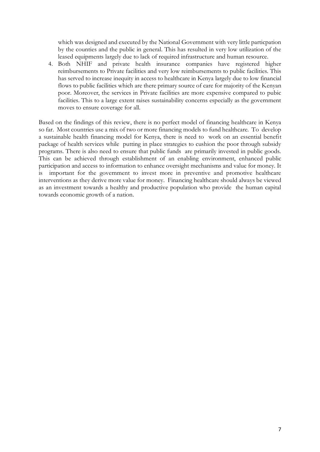which was designed and executed by the National Government with very little particpation by the counties and the public in general. This has resulted in very low utilization of the leased equipments largely due to lack of required infrastructure and human resource.

4. Both NHIF and private health insurance companies have registered higher reimbursements to Private facilities and very low reimbursements to public facilities. This has served to increase inequity in access to healthcare in Kenya largely due to low financial flows to public facilities which are there primary source of care for majority of the Kenyan poor. Moreover, the services in Private facilities are more expensive compared to pubic facilities. This to a large extent raises sustainability concerns especially as the government moves to ensure coverage for all.

<span id="page-7-0"></span>Based on the findings of this review, there is no perfect model of financing healthcare in Kenya so far. Most countries use a mix of two or more financing models to fund healthcare. To develop a sustainable health financing model for Kenya, there is need to work on an essential benefit package of health services while putting in place strategies to cushion the poor through subsidy programs. There is also need to ensure that public funds are primarily invested in public goods. This can be achieved through establishment of an enabling environment, enhanced public participation and access to information to enhance oversight mechanisms and value for money. It is important for the government to invest more in preventive and promotive healthcare interventions as they derive more value for money. Financing healthcare should always be viewed as an investment towards a healthy and productive population who provide the human capital towards economic growth of a nation.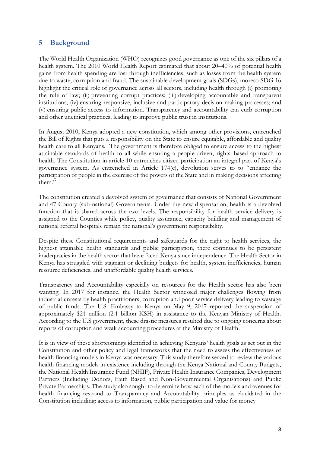### **5 Background**

The World Health Organization (WHO) recognizes good governance as one of the six pillars of a health system. The 2010 World Health Report estimated that about 20–40% of potential health gains from health spending are lost through inefficiencies, such as losses from the health system due to waste, corruption and fraud. The sustainable development goals (SDGs), moreso SDG 16 highlight the critical role of governance across all sectors, including health through (i) promoting the rule of law; (ii) preventing corrupt practices; (iii) developing accountable and transparent institutions; (iv) ensuring responsive, inclusive and participatory decision-making processes; and (v) ensuring public access to information. Transparency and accountability can curb corruption and other unethical practices, leading to improve public trust in institutions.

In August 2010, Kenya adopted a new constitution, which among other provisions, entrenched the Bill of Rights that puts a responsibility on the State to ensure equitable, affordable and quality health care to all Kenyans. The government is therefore obliged to ensure access to the highest attainable standards of health to all while ensuring a people-driven, rights–based approach to health. The Constitution in article 10 entrenches citizen participation an integral part of Kenya's governance system. As entrenched in Article 174(c), devolution serves to to "enhance the participation of people in the exercise of the powers of the State and in making decisions affecting them."

The constitution created a devolved system of governance that consists of National Government and 47 County (sub-national) Governments. Under the new dispensation, health is a devolved function that is shared across the two levels. The responsibility for health service delivery is assigned to the Counties while policy, quality assurance, capacity building and management of national referral hospitals remain the national's government responsibility.

Despite these Constitutional requirements and safeguards for the right to health services, the highest attainable health standards and public participation, there continues to be persistent inadequacies in the health sector that have faced Kenya since independence. The Health Sector in Kenya has struggled with stagnant or declining budgets for health, system inefficiencies, human resource deficiencies, and unaffordable quality health services.

Transparency and Accountability especially on resources for the Health sector has also been wanting. In 2017 for instance, the Health Sector witnessed major challenges flowing from industrial unrests by health practitioners, corruption and poor service delivery leading to wastage of public funds. The U.S. Embassy to Kenya on May 9, 2017 reported the suspension of approximately \$21 million (2.1 billion KSH) in assistance to the Kenyan Ministry of Health. According to the U.S government, these drastic measures resulted due to ongoing concerns about reports of corruption and weak accounting procedures at the Ministry of Health.

It is in view of these shortcomings identified in achieving Kenyans' health goals as set out in the Constitution and other policy and legal frameworks that the need to assess the effectiveness of health financing models in Kenya was necessary. This study therefore served to review the various health financing models in existence including through the Kenya National and County Budgets, the National Health Insurance Fund (NHIF), Private Health Insurance Companies, Development Partners (Including Donors, Faith Based and Non-Governmental Organisations) and Public Private Partnerships. The study also sought to determine how each of the models and avenues for health financing respond to Transparency and Accountability principles as elucidated in the Constitution including: access to information, public participation and value for money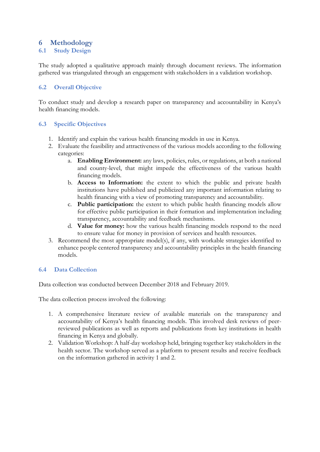### <span id="page-9-0"></span>**6 Methodology**

#### <span id="page-9-1"></span>**6.1 Study Design**

The study adopted a qualitative approach mainly through document reviews. The information gathered was triangulated through an engagement with stakeholders in a validation workshop.

#### <span id="page-9-2"></span>**6.2 Overall Objective**

To conduct study and develop a research paper on transparency and accountability in Kenya's health financing models.

#### <span id="page-9-3"></span>**6.3 Specific Objectives**

- 1. Identify and explain the various health financing models in use in Kenya.
- 2. Evaluate the feasibility and attractiveness of the various models according to the following categories:
	- a. **Enabling Environment:** any laws, policies, rules, or regulations, at both a national and county-level, that might impede the effectiveness of the various health financing models.
	- b. **Access to Information:** the extent to which the public and private health institutions have published and publicized any important information relating to health financing with a view of promoting transparency and accountability.
	- c. **Public participation:** the extent to which public health financing models allow for effective public participation in their formation and implementation including transparency, accountability and feedback mechanisms.
	- d. **Value for money:** how the various health financing models respond to the need to ensure value for money in provision of services and health resources.
- 3. Recommend the most appropriate model(s), if any, with workable strategies identified to enhance people centered transparency and accountability principles in the health financing models.

#### <span id="page-9-4"></span>**6.4 Data Collection**

Data collection was conducted between December 2018 and February 2019.

The data collection process involved the following:

- 1. A comprehensive literature review of available materials on the transparency and accountability of Kenya's health financing models. This involved desk reviews of peerreviewed publications as well as reports and publications from key institutions in health financing in Kenya and globally.
- 2. Validation Workshop: A half-day workshop held, bringing together key stakeholders in the health sector. The workshop served as a platform to present results and receive feedback on the information gathered in activity 1 and 2.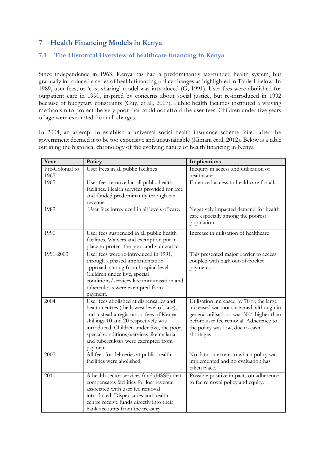## <span id="page-10-0"></span>**7 Health Financing Models in Kenya**

## <span id="page-10-1"></span>**7.1 The Historical Overview of healthcare financing in Kenya**

Since independence in 1963, Kenya has had a predominantly tax-funded health system, but gradually introduced a series of health financing policy changes as highlighted in Table 1 below. In 1989, user fees, or 'cost-sharing' model was introduced (G, 1991). User fees were abolished for outpatient care in 1990, inspired by concerns about social justice, but re-introduced in 1992 because of budgetary constraints (Guy, et al., 2007). Public health facilities instituted a waiving mechanism to protect the very poor that could not afford the user fees. Children under five years of age were exempted from all charges.

In 2004, an attempt to establish a universal social health insurance scheme failed after the government deemed it to be too expensive and unsustainable (Kimani et al. 2012). Below is a table outlining the historical chronology of the evolving nature of health financing in Kenya

| Year                    | Policy                                                                                                                                                                                                                                                                                                                 | Implications                                                                                                                                                                                                             |
|-------------------------|------------------------------------------------------------------------------------------------------------------------------------------------------------------------------------------------------------------------------------------------------------------------------------------------------------------------|--------------------------------------------------------------------------------------------------------------------------------------------------------------------------------------------------------------------------|
| Pre-Colonial to<br>1965 | User Fees in all public facilities                                                                                                                                                                                                                                                                                     | Inequity in access and utilization of<br>healthcare                                                                                                                                                                      |
| 1965                    | User fees removed at all public health<br>facilities. Health services provided for free<br>and funded predominantly through tax<br>revenue                                                                                                                                                                             | Enhanced access to healthcare for all.                                                                                                                                                                                   |
| 1989                    | User fees introduced in all levels of care.                                                                                                                                                                                                                                                                            | Negatively impacted demand for health<br>care especially among the poorest<br>population                                                                                                                                 |
| 1990                    | User fees suspended in all public health<br>facilities. Waivers and exemption put in<br>place to protect the poor and vulnerable.                                                                                                                                                                                      | Increase in utilisation of healthcare                                                                                                                                                                                    |
| 1991-2003               | User fees were re-introduced in 1991,<br>through a phased implementation<br>approach stating from hospital level.<br>Children under five, special<br>conditions/services like immunisation and<br>tuberculosis were exempted from<br>payment.                                                                          | This presented major barrier to access<br>coupled with high out-of-pocket<br>payment.                                                                                                                                    |
| 2004                    | User fees abolished at dispensaries and<br>health centres (the lowest level of care),<br>and instead a registration fees of Kenya<br>shillings 10 and 20 respectively was<br>introduced. Children under five, the poor,<br>special conditions/services like malaria<br>and tuberculosis were exempted from<br>payment. | Utilisation increased by 70%; the large<br>increased was not sustained, although in<br>general utilisations was 30% higher than<br>before user fee removal. Adherence to<br>the policy was low, due to cash<br>shortages |
| 2007                    | All fees for deliveries at public health<br>facilities were abolished                                                                                                                                                                                                                                                  | No data on extent to which policy was<br>implemented and no evaluation has<br>taken place.                                                                                                                               |
| 2010                    | A health sector services fund (HSSF) that<br>compensates facilities for lost revenue<br>associated with user fee removal<br>introduced. Dispensaries and health<br>centre receive funds directly into their<br>bank accounts from the treasury.                                                                        | Possible positive impacts on adherence<br>to fee removal policy and equity.                                                                                                                                              |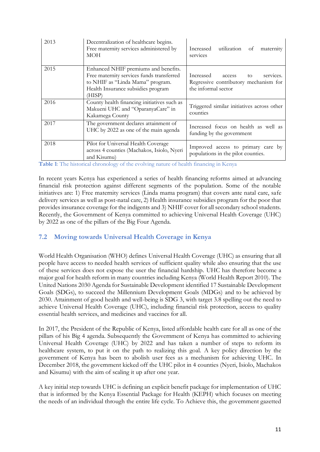| 2013 | Decentralization of healthcare begins.<br>Free maternity services administered by<br>MOH                                                                              | utilization of<br>Increased<br>maternity<br>services                                                |
|------|-----------------------------------------------------------------------------------------------------------------------------------------------------------------------|-----------------------------------------------------------------------------------------------------|
| 2015 | Enhanced NHIF premiums and benefits.<br>Free maternity services funds transferred<br>to NHIF as "Linda Mama" program.<br>Health Insurance subsidies program<br>(HISP) | Increased access<br>services.<br>to<br>Regressive contributory mechanism for<br>the informal sector |
| 2016 | County health financing initiatives such as<br>Makueni UHC and "OparanyaCare" in<br>Kakamega County                                                                   | Triggered similar initiatives across other<br>counties                                              |
| 2017 | The government declares attainment of<br>UHC by 2022 as one of the main agenda                                                                                        | Increased focus on health as well as<br>funding by the government                                   |
| 2018 | Pilot for Universal Health Coverage<br>across 4 counties (Machakos, Isiolo, Nyeri<br>and Kisumu)                                                                      | Improved access to primary care by<br>populations in the pilot counties.                            |

**Table 1**: The historical chronology of the evolving nature of health financing in Kenya

In recent years Kenya has experienced a series of health financing reforms aimed at advancing financial risk protection against different segments of the population. Some of the notable initiatives are: 1) Free maternity services (Linda mama program) that covers ante natal care, safe delivery services as well as post-natal care, 2) Health insurance subsidies program for the poor that provides insurance coverage for the indigents and 3) NHIF cover for all secondary school students. Recently, the Government of Kenya committed to achieving Universal Health Coverage (UHC) by 2022 as one of the pillars of the Big Four Agenda.

### <span id="page-11-0"></span>**7.2 Moving towards Universal Health Coverage in Kenya**

World Health Organisation (WHO) defines Universal Health Coverage (UHC) as ensuring that all people have access to needed health services of sufficient quality while also ensuring that the use of these services does not expose the user the financial hardship. UHC has therefore become a major goal for health reform in many countries including Kenya (World Health Report 2010). The United Nations 2030 Agenda for Sustainable Development identified 17 Sustainable Development Goals (SDGs), to succeed the Millennium Development Goals (MDGs) and to be achieved by 2030. Attainment of good health and well-being is SDG 3, with target 3.8 spelling out the need to achieve Universal Health Coverage (UHC), including financial risk protection, access to quality essential health services, and medicines and vaccines for all.

In 2017, the President of the Republic of Kenya, listed affordable health care for all as one of the pillars of his Big 4 agenda. Subsequently the Government of Kenya has committed to achieving Universal Health Coverage (UHC) by 2022 and has taken a number of steps to reform its healthcare system, to put it on the path to realizing this goal. A key policy direction by the government of Kenya has been to abolish user fees as a mechanism for achieving UHC. In December 2018, the government kicked off the UHC pilot in 4 counties (Nyeri, Isiolo, Machakos and Kisumu) with the aim of scaling it up after one year.

A key initial step towards UHC is defining an explicit benefit package for implementation of UHC that is informed by the Kenya Essential Package for Health (KEPH) which focuses on meeting the needs of an individual through the entire life cycle. To Achieve this, the government gazetted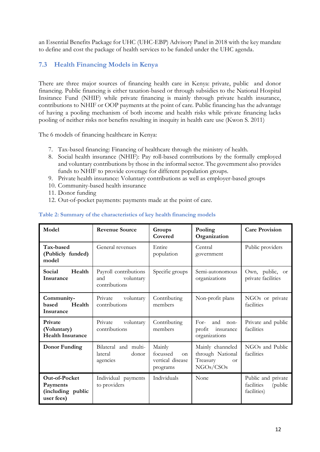an Essential Benefits Package for UHC (UHC-EBP) Advisory Panel in 2018 with the key mandate to define and cost the package of health services to be funded under the UHC agenda.

### <span id="page-12-0"></span>**7.3 Health Financing Models in Kenya**

There are three major sources of financing health care in Kenya: private, public and donor financing. Public financing is either taxation-based or through subsidies to the National Hospital Insirance Fund (NHIF) while private financing is mainly through private health insurance, contributions to NHIF or OOP payments at the point of care. Public financing has the advantage of having a pooling mechanism of both income and health risks while private financing lacks pooling of neither risks nor benefits resulting in inequity in health care use (Kwon S. 2011)

The 6 models of financing healthcare in Kenya:

- 7. Tax-based financing: Financing of healthcare through the ministry of health.
- 8. Social health insurance (NHIF): Pay roll-based contributions by the formally employed and voluntary contributions by those in the informal sector. The government also provides funds to NHIF to provide coverage for different population groups.
- 9. Private health insurance: Voluntary contributions as well as employer-based groups
- 10. Community-based health insurance
- 11. Donor funding
- 12. Out-of-pocket payments: payments made at the point of care.

| Model                                                        | <b>Revenue Source</b>                                      | Groups<br>Covered                                                | Pooling<br>Organization                                                    | <b>Care Provision</b>                                      |
|--------------------------------------------------------------|------------------------------------------------------------|------------------------------------------------------------------|----------------------------------------------------------------------------|------------------------------------------------------------|
| Tax-based<br>(Publicly funded)<br>model                      | General revenues                                           | Entire<br>population                                             | Central<br>government                                                      | Public providers                                           |
| Health<br>Social<br>Insurance                                | Payroll contributions<br>and<br>voluntary<br>contributions | Specific groups                                                  | Semi-autonomous<br>organizations                                           | Own, public, or<br>private facilities                      |
| Community-<br>Health<br>based<br>Insurance                   | Private<br>voluntary<br>contributions                      | Contributing<br>members                                          | Non-profit plans                                                           | NGOs or private<br>facilities                              |
| Private<br>(Voluntary)<br><b>Health Insurance</b>            | Private voluntary<br>contributions                         | Contributing<br>members                                          | $For-$<br>and<br>$non-$<br>profit<br>insurance<br>organizations            | Private and public<br>facilities                           |
| Donor Funding                                                | Bilateral and multi-<br>lateral<br>donor<br>agencies       | Mainly<br>focussed<br>$\alpha$ n<br>vertical disease<br>programs | Mainly channeled<br>through National<br>Treasury<br><b>or</b><br>NGOs/CSOs | NGOs and Public<br>facilities                              |
| Out-of-Pocket<br>Payments<br>(including public<br>user fees) | Individual payments<br>to providers                        | Individuals                                                      | None                                                                       | Public and private<br>facilities<br>(public<br>facilities) |

#### **Table 2: Summary of the characteristics of key health financing models**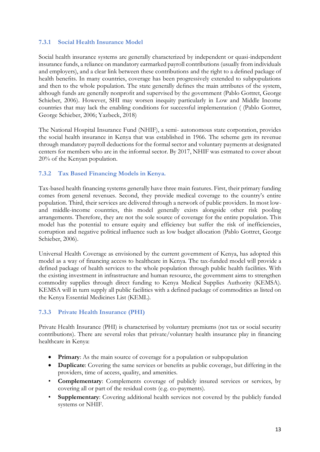#### <span id="page-13-0"></span>**7.3.1 Social Health Insurance Model**

Social health insurance systems are generally characterized by independent or quasi-independent insurance funds, a reliance on mandatory earmarked payroll contributions (usually from individuals and employers), and a clear link between these contributions and the right to a defined package of health benefits. In many countries, coverage has been progressively extended to subpopulations and then to the whole population. The state generally defines the main attributes of the system, although funds are generally nonprofit and supervised by the government (Pablo Gottret, George Schieber, 2006). However, SHI may worsen inequity particularly in Low and Middle Income countries that may lack the enabling conditions for successful implementation ( (Pablo Gottret, George Schieber, 2006; Yazbeck, 2018)

The National Hospital Insurance Fund (NHIF), a semi- autonomous state corporation, provides the social health insurance in Kenya that was established in 1966. The scheme gets its revenue through mandatory payroll deductions for the formal sector and voluntary payments at designated centers for members who are in the informal sector. By 2017, NHIF was estmated to cover about 20% of the Kenyan population.

#### <span id="page-13-1"></span>**7.3.2 Tax Based Financing Models in Kenya.**

Tax-based health financing systems generally have three main features. First, their primary funding comes from general revenues. Second, they provide medical coverage to the country's entire population. Third, their services are delivered through a network of public providers. In most lowand middle-income countries, this model generally exists alongside other risk pooling arrangements. Therefore, they are not the sole source of coverage for the entire population. This model has the potential to ensure equity and efficiency but suffer the risk of inefficiencies, corruption and negative political influence such as low budget allocation (Pablo Gottret, George Schieber, 2006).

Universal Health Coverage as envisioned by the current government of Kenya, has adopted this model as a way of financing access to healthcare in Kenya. The tax-funded model will provide a defined package of health services to the whole population through public health facilities. With the existing investment in infrastructure and human resource, the government aims to strengthen commodity supplies through direct funding to Kenya Medical Supplies Authority (KEMSA). KEMSA will in turn supply all public facilities with a defined package of commodities as listed on the Kenya Essential Medicines List (KEML).

#### <span id="page-13-2"></span>**7.3.3 Private Health Insurance (PHI)**

Private Health Insurance (PHI) is characterised by voluntary premiums (not tax or social security contributions). There are several roles that private/voluntary health insurance play in financing healthcare in Kenya:

- **Primary**: As the main source of coverage for a population or subpopulation
- **Duplicate**: Covering the same services or benefits as public coverage, but differing in the providers, time of access, quality, and amenities.
- **Complementary**: Complements coverage of publicly insured services or services, by covering all or part of the residual costs (e.g. co-payments).
- **Supplementary:** Covering additional health services not covered by the publicly funded systems or NHIF.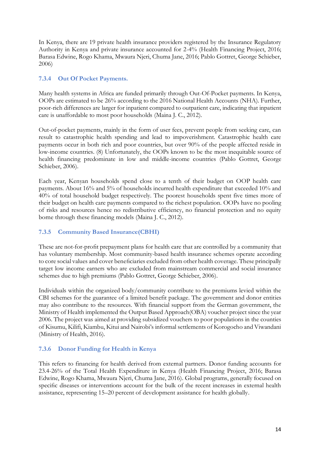In Kenya, there are 19 private health insurance providers registered by the Insurance Regulatory Authority in Kenya and private insurance accounted for 2-4% (Health Financing Project, 2016; Barasa Edwine, Rogo Khama, Mwaura Njeri, Chuma Jane, 2016; Pablo Gottret, George Schieber, 2006)

#### <span id="page-14-0"></span>**7.3.4 Out Of Pocket Payments.**

Many health systems in Africa are funded primarily through Out-Of-Pocket payments. In Kenya, OOPs are estimated to be 26% according to the 2016 National Health Accounts (NHA). Further, poor-rich differences are larger for inpatient compared to outpatient care, indicating that inpatient care is unaffordable to most poor households (Maina J. C., 2012).

Out-of-pocket payments, mainly in the form of user fees, prevent people from seeking care, can result to catastrophic health spending and lead to impoverishment. Catastrophic health care payments occur in both rich and poor countries, but over 90% of the people affected reside in low-income countries. (8) Unfortunately, the OOPs known to be the most inequitable source of health financing predominate in low and middle-income countries (Pablo Gottret, George Schieber, 2006).

Each year, Kenyan households spend close to a tenth of their budget on OOP health care payments. About 16% and 5% of households incurred health expenditure that exceeded 10% and 40% of total household budget respectively. The poorest households spent five times more of their budget on health care payments compared to the richest population. OOPs have no pooling of risks and resources hence no redistributive efficiency, no financial protection and no equity borne through these financing models (Maina J. C., 2012).

#### <span id="page-14-1"></span>**7.3.5 Community Based Insurance(CBHI)**

These are not-for-profit prepayment plans for health care that are controlled by a community that has voluntary membership. Most community-based health insurance schemes operate according to core social values and cover beneficiaries excluded from other health coverage. These principally target low income earners who are excluded from mainstream commercial and social insurance schemes due to high premiums (Pablo Gottret, George Schieber, 2006).

Individuals within the organized body/community contribute to the premiums levied within the CBI schemes for the guarantee of a limited benefit package. The government and donor entities may also contribute to the resources. With financial support from the German government, the Ministry of Health implemented the Output Based Approach(OBA) voucher project since the year 2006. The project was aimed at providing subsidized vouchers to poor populations in the counties of Kisumu, Kilifi, Kiambu, Kitui and Nairobi's informal settlements of Korogocho and Viwandani (Ministry of Health, 2016).

#### <span id="page-14-2"></span>**7.3.6 Donor Funding for Health in Kenya**

This refers to financing for health derived from external partners. Donor funding accounts for 23.4-26% of the Total Health Expenditure in Kenya (Health Financing Project, 2016; Barasa Edwine, Rogo Khama, Mwaura Njeri, Chuma Jane, 2016). Global programs, generally focused on specific diseases or interventions account for the bulk of the recent increases in external health assistance, representing 15–20 percent of development assistance for health globally.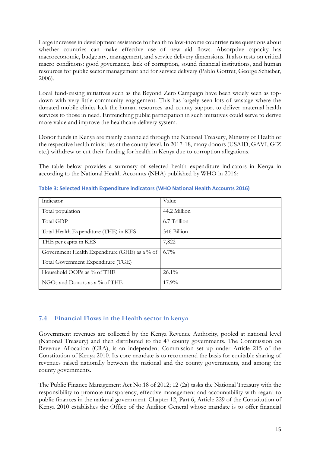Large increases in development assistance for health to low-income countries raise questions about whether countries can make effective use of new aid flows. Absorptive capacity has macroeconomic, budgetary, management, and service delivery dimensions. It also rests on critical macro conditions: good governance, lack of corruption, sound financial institutions, and human resources for public sector management and for service delivery (Pablo Gottret, George Schieber, 2006).

Local fund-raising initiatives such as the Beyond Zero Campaign have been widely seen as topdown with very little community engagement. This has largely seen lots of wastage where the donated mobile clinics lack the human resources and county support to deliver maternal health services to those in need. Entrenching public participation in such initiatives could serve to derive more value and improve the healthcare delivery system.

Donor funds in Kenya are mainly channeled through the National Treasury, Ministry of Health or the respective health ministries at the county level. In 2017-18, many donors (USAID, GAVI, GIZ etc.) withdrew or cut their funding for health in Kenya due to corruption allegations.

The table below provides a summary of selected health expenditure indicators in Kenya in according to the National Health Accounts (NHA) published by WHO in 2016:

| Indicator                                     | Value        |
|-----------------------------------------------|--------------|
| Total population                              | 44.2 Million |
| Total GDP                                     | 6.7 Trillion |
| Total Health Expenditure (THE) in KES         | 346 Billion  |
| THE per capita in KES                         | 7,822        |
| Government Health Expenditure (GHE) as a % of | $6.7\%$      |
| Total Government Expenditure (TGE)            |              |
| Household OOPs as % of THE                    | $26.1\%$     |
| NGOs and Donors as a $\%$ of THE              | $17.9\%$     |

**Table 3: Selected Health Expenditure indicators (WHO National Health Accounts 2016)**

### <span id="page-15-0"></span>**7.4 Financial Flows in the Health sector in kenya**

Government revenues are collected by the Kenya Revenue Authority, pooled at national level (National Treasury) and then distributed to the 47 county governments. The Commission on Revenue Allocation (CRA), is an independent Commission set up under Article 215 of the Constitution of Kenya 2010. Its core mandate is to recommend the basis for equitable sharing of revenues raised nationally between the national and the county governments, and among the county governments.

The Public Finance Management Act No.18 of 2012; 12 (2a) tasks the National Treasury with the responsibility to promote transparency, effective management and accountability with regard to public finances in the national government. Chapter 12, Part 6, Article 229 of the Constitution of Kenya 2010 establishes the Office of the Auditor General whose mandate is to offer financial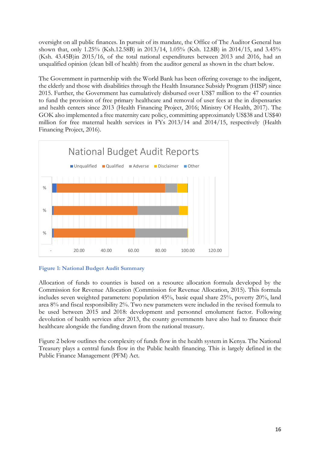oversight on all public finances. In pursuit of its mandate, the Office of The Auditor General has shown that, only 1.25% (Ksh.12.58B) in 2013/14, 1.05% (Ksh. 12.8B) in 2014/15, and 3.45% (Ksh. 43.45B)in 2015/16, of the total national expenditures between 2013 and 2016, had an unqualified opinion (clean bill of health) from the auditor general as shown in the chart below.

The Government in partnership with the World Bank has been offering coverage to the indigent, the elderly and those with disabilities through the Health Insurance Subsidy Program (HISP) since 2015. Further, the Government has cumulatively disbursed over US\$7 million to the 47 counties to fund the provision of free primary healthcare and removal of user fees at the in dispensaries and health centers since 2013 (Health Financing Project, 2016; Ministry Of Health, 2017). The GOK also implemented a free maternity care policy, committing approximately US\$38 and US\$40 million for free maternal health services in FYs 2013/14 and 2014/15, respectively (Health Financing Project, 2016).





Allocation of funds to counties is based on a resource allocation formula developed by the Commission for Revenue Allocation (Commission for Revenue Allocation, 2015). This formula includes seven weighted parameters: population 45%, basic equal share 25%, poverty 20%, land area 8% and fiscal responsibility 2%. Two new parameters were included in the revised formula to be used between 2015 and 2018: development and personnel emolument factor. Following devolution of health services after 2013, the county governments have also had to finance their healthcare alongside the funding drawn from the national treasury.

Figure 2 below outlines the complexity of funds flow in the health system in Kenya. The National Treasury plays a central funds flow in the Public health financing. This is largely defined in the Public Finance Management (PFM) Act.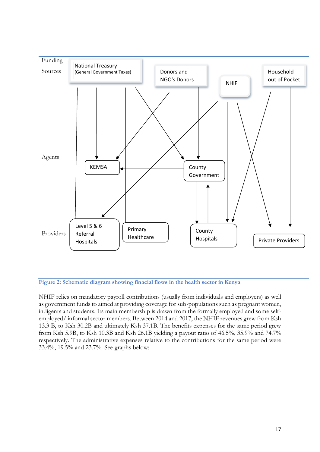

**Figure 2: Schematic diagram showing finacial flows in the health sector in Kenya**

NHIF relies on mandatory payroll contributions (usually from individuals and employers) as well as government funds to aimed at providing coverage for sub-populations such as pregnant women, indigents and students. Its main membership is drawn from the formally employed and some selfemployed/ informal sector members. Between 2014 and 2017, the NHIF revenues grew from Ksh 13.3 B, to Ksh 30.2B and ultimately Ksh 37.1B. The benefits expenses for the same period grew from Ksh 5.9B, to Ksh 10.3B and Ksh 26.1B yielding a payout ratio of 46.5%, 35.9% and 74.7% respectively. The administrative expenses relative to the contributions for the same period were 33.4%, 19.5% and 23.7%. See graphs below: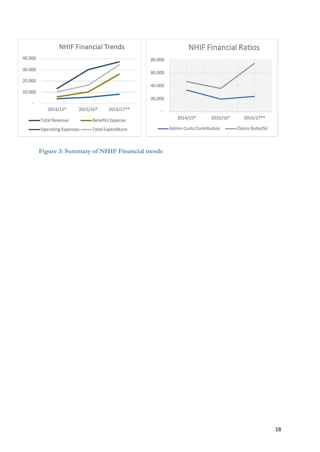

**Figure 3: Summary of NHIF Financial trends**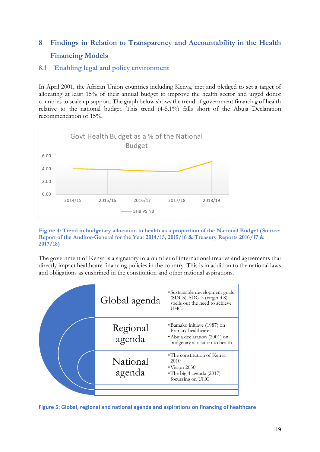# <span id="page-19-0"></span>**8 Findings in Relation to Transparency and Accountability in the Health Financing Models**

#### <span id="page-19-1"></span>**8.1 Enabling legal and policy environment**

In April 2001, the African Union countries including Kenya, met and pledged to set a target of allocating at least 15% of their annual budget to improve the health sector and urged donor countries to scale up support. The graph below shows the trend of government financing of health relative to the national budget. This trend (4-5.1%) falls short of the Abuja Declaration recommendation of 15%.



#### **Figure 4: Trend in budgetary allocation to health as a proportion of the National Budget (Source: Report of the Auditor-General for the Year 2014/15, 2015/16 & Treasury Reports 2016/17 & 2017/18)**

The government of Kenya is a signatory to a number of international treaties and agreements that directly impact healthcare financing policies in the country. This is in addition to the national laws and obligations as enshrined in the constitution and other national aspirations.



**Figure 5: Global, regional and national agenda and aspirations on financing of healthcare**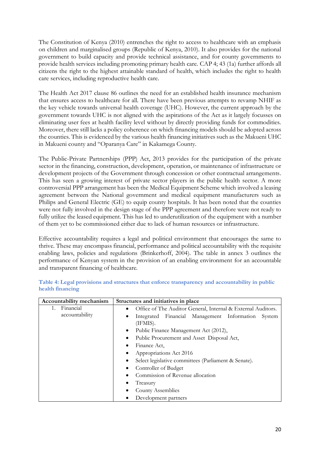The Constitution of Kenya (2010) entrenches the right to access to healthcare with an emphasis on children and marginalised groups (Republic of Kenya, 2010). It also provides for the national government to build capacity and provide technical assistance, and for county governments to provide health services including promoting primary health care. CAP 4; 43 (1a) further affords all citizens the right to the highest attainable standard of health, which includes the right to health care services, including reproductive health care.

The Health Act 2017 clause 86 outlines the need for an established health insurance mechanism that ensures access to healthcare for all. There have been previous attempts to revamp NHIF as the key vehicle towards universal health coverage (UHC). However, the current approach by the government towards UHC is not aligned with the aspirations of the Act as it largely focusses on eliminating user fees at health facility level without by directly providing funds for commodities. Moreover, there still lacks a policy coherence on which financing models should be adopted across the counties. This is evidenced by the various health financing initiatives such as the Makueni UHC in Makueni county and "Oparanya Care" in Kakamega County.

The Public-Private Partnerships (PPP) Act, 2013 provides for the participation of the private sector in the financing, construction, development, operation, or maintenance of infrastructure or development projects of the Government through concession or other contractual arrangements. This has seen a growing interest of private sector players in the public health sector. A more controversial PPP arrangement has been the Medical Equipment Scheme which involved a leasing agreement between the National government and medical equipment manufacturers such as Philips and General Electric (GE) to equip county hospitals. It has been noted that the counties were not fully involved in the design stage of the PPP agreement and therefore were not ready to fully utilize the leased equipment. This has led to underutilization of the equipment with a number of them yet to be commissioned either due to lack of human resources or infrastructure.

Effective accountability requires a legal and political environment that encourages the same to thrive. These may encompass financial, performance and political accountability with the requisite enabling laws, policies and regulations (Brinkerhoff, 2004). The table in annex 3 outlines the performance of Kenyan system in the provision of an enabling environment for an accountable and transparent financing of healthcare.

| Accountability mechanism | Structures and initiatives in place                               |  |  |  |
|--------------------------|-------------------------------------------------------------------|--|--|--|
| Financial                | Office of The Auditor General, Internal & External Auditors.<br>٠ |  |  |  |
| accountability           | Integrated Financial Management Information<br>System<br>(IFMIS). |  |  |  |
|                          | Public Finance Management Act (2012),<br>٠                        |  |  |  |
|                          | Public Procurement and Asset Disposal Act,<br>٠                   |  |  |  |
|                          | Finance Act.<br>٠                                                 |  |  |  |
|                          | Appropriations Act 2016<br>٠                                      |  |  |  |
|                          | Select legislative committees (Parliament & Senate).<br>٠         |  |  |  |
|                          | Controller of Budget                                              |  |  |  |
|                          | Commission of Revenue allocation                                  |  |  |  |
|                          | Treasury                                                          |  |  |  |
|                          | County Assemblies                                                 |  |  |  |
|                          | Development partners                                              |  |  |  |

**Table 4: Legal provisions and structures that enforce transparency and accountability in public health financing**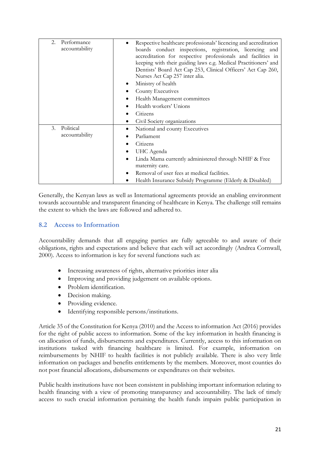| 2.<br>Performance<br>accountability | Respective healthcare professionals' licencing and accreditation<br>boards conduct inspections, registration, licencing and<br>accreditation for respective professionals and facilities in<br>keeping with their guiding laws e.g. Medical Practitioners' and<br>Dentists' Board Act Cap 253, Clinical Officers' Act Cap 260,<br>Nurses Act Cap 257 inter alia.<br>Ministry of health<br>County Executives<br>Health Management committees<br>Health workers' Unions<br>Citizens<br>Civil Society organizations |
|-------------------------------------|------------------------------------------------------------------------------------------------------------------------------------------------------------------------------------------------------------------------------------------------------------------------------------------------------------------------------------------------------------------------------------------------------------------------------------------------------------------------------------------------------------------|
| Political<br>3.<br>accountability   | National and county Executives<br>Parliament<br>Citizens<br>UHC Agenda<br>Linda Mama currently administered through NHIF & Free<br>maternity care.<br>Removal of user fees at medical facilities.<br>Health Insurance Subsidy Programme (Elderly & Disabled)                                                                                                                                                                                                                                                     |

Generally, the Kenyan laws as well as International agreements provide an enabling environment towards accountable and transparent financing of healthcare in Kenya. The challenge still remains the extent to which the laws are followed and adhered to.

### <span id="page-21-0"></span>**8.2 Access to Information**

Accountability demands that all engaging parties are fully agreeable to and aware of their obligations, rights and expectations and believe that each will act accordingly (Andrea Cornwall, 2000). Access to information is key for several functions such as:

- Increasing awareness of rights, alternative priorities inter alia
- Improving and providing judgement on available options.
- Problem identification.
- Decision making.
- Providing evidence.
- Identifying responsible persons/institutions.

Article 35 of the Constitution for Kenya (2010) and the Access to information Act (2016) provides for the right of public access to information. Some of the key information in health financing is on allocation of funds, disbursements and expenditures. Currently, access to this information on institutions tasked with financing healthcare is limited. For example, information on reimbursements by NHIF to health facilities is not publicly available. There is also very little information on packages and benefits entitlements by the members. Moreover, most counties do not post financial allocations, disbursements or expenditures on their websites.

Public health institutions have not been consistent in publishing important information relating to health financing with a view of promoting transparency and accountability. The lack of timely access to such crucial information pertaining the health funds impairs public participation in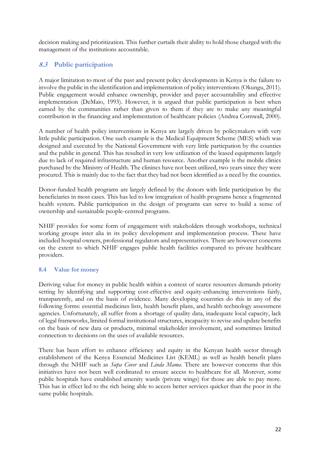decision making and prioritization. This further curtails their ability to hold those charged with the management of the institutions accountable.

### <span id="page-22-0"></span>**8.3 Public participation**

A major limitation to most of the past and present policy developments in Kenya is the failure to involve the public in the identification and implementation of policy interventions (Okungu, 2011). Public engagement would enhance ownership, provider and payer accountability and effective implementation (DeMaio, 1993). However, it is argued that public participation is best when earned by the communities rather than given to them if they are to make any meaningful contribution in the financing and implementation of healthcare policies (Andrea Cornwall, 2000).

A number of health policy interventions in Kenya are largely driven by policymakers with very little public participation. One such example is the Medical Equipment Scheme (MES) which was designed and executed by the National Government with very little particpation by the counties and the public in general. This has resulted in very low utilization of the leased equipments largely due to lack of required infrastructure and human resource. Another example is the mobile clinics purchased by the Ministry of Health. The clinincs have not been utilized, two years since they were procured. This is mainly due to the fact that they had not been identified as a need by the counties.

Donor-funded health programs are largely defined by the donors with little participation by the beneficiaries in most cases. This has led to low integration of health programs hence a fragmented health system. Public participation in the design of programs can serve to build a sense of ownership and sustainable people-centred programs.

NHIF provides for some form of engagement with stakeholders through workshops, technical working groups inter alia in its policy development and implementation process. These have included hospital owners, professional regulators and representatives. There are however concerns on the extent to which NHIF engages public health facilities compared to private healthcare providers.

#### <span id="page-22-1"></span>**8.4 Value for money**

Deriving value for money in public health within a context of scarce resources demands priority setting by identifying and supporting cost-effective and equity-enhancing interventions fairly, transparently, and on the basis of evidence. Many developing countries do this in any of the following forms: essential medicines lists, health benefit plans, and health technology assessment agencies. Unfortunately, all suffer from a shortage of quality data, inadequate local capacity, lack of legal frameworks, limited formal institutional structures, incapacity to revise and update benefits on the basis of new data or products, minimal stakeholder involvement, and sometimes limited connection to decisions on the uses of available resources.

There has been effort to enhance efficiency and equity in the Kenyan health sector through establishment of the Kenya Essencial Medicines List (KEML) as well as health benefit plans through the NHIF such as *Supa Cover* and *Linda Mama*. There are however concerns that this initiatives have not been well cordinated to ensure access to healthcare for all. Morever, some public hospitals have established amenity wards (private wings) for those are able to pay more. This has in effect led to the rich being able to access better services quicker than the poor in the same public hospitals.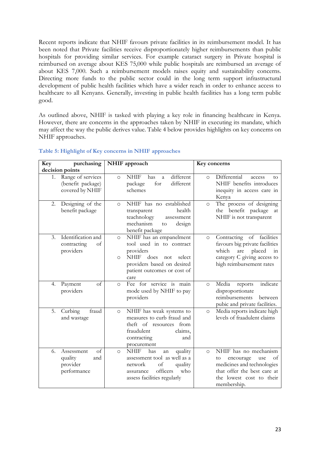Recent reports indicate that NHIF favours private facilities in its reimbursement model. It has been noted that Private facilities receive disproportionately higher reimbursements than public hospitals for providing similar services. For example cataract surgery in Private hospital is reimbursed on average about KES 75,000 while public hospitals are reimbursed an average of about KES 7,000. Such a reimbursement models raises equity and sustainability concerns. Directing more funds to the public sector could in the long term support infrastructural development of public health facilities which have a wider reach in order to enhance access to healthcare to all Kenyans. Generally, investing in public health facilities has a long term public good.

As outlined above, NHIF is tasked with playing a key role in financing healthcare in Kenya. However, there are concerns in the approaches taken by NHIF in executing its mandate, which may affect the way the public derives value. Table 4 below provides highlights on key concerns on NHIF approaches.

| Key             | purchasing                                                    | NHIF approach                                                                                                                                                                                       | Key concerns                                                                                                                                                              |
|-----------------|---------------------------------------------------------------|-----------------------------------------------------------------------------------------------------------------------------------------------------------------------------------------------------|---------------------------------------------------------------------------------------------------------------------------------------------------------------------------|
| decision points |                                                               |                                                                                                                                                                                                     |                                                                                                                                                                           |
| 1.              | Range of services<br>(benefit package)<br>covered by NHIF     | different<br><b>NHIF</b><br>has<br>$\Omega$<br>$\overline{a}$<br>for<br>different<br>package<br>schemes                                                                                             | Differential<br>access<br>$\Omega$<br>tο<br>NHIF benefits introduces<br>inequity in access care in<br>Kenya                                                               |
| 2.              | Designing of the<br>benefit package                           | NHIF has no established<br>$\circ$<br>health<br>transparent<br>teachnology<br>assessment<br>mechanism<br>design<br>to<br>benefit package                                                            | The process of designing<br>$\circ$<br>the benefit package at<br>NHIF is not transparent                                                                                  |
| 3.              | Identification and<br>contracting<br>of<br>providers          | NHIF has an empanelment<br>$\circ$<br>tool used in to contract<br>providers<br>does<br><b>NHIF</b><br>select<br>not<br>$\circ$<br>providers based on desired<br>patient outcomes or cost of<br>care | Contracting of facilities<br>$\Omega$<br>favours big private facilities<br>which<br>placed<br>are<br>in<br>category C giving access to<br>high reimbursement rates        |
| 4.              | of<br>Payment<br>providers                                    | Fee for service is main<br>$\circ$<br>mode used by NHIF to pay<br>providers                                                                                                                         | Media<br>indicate<br>reports<br>$\circ$<br>disproportionate<br>reimbursements<br>between<br>pubic and private facilities.                                                 |
| 5.              | Curbing<br>fraud<br>and wastage                               | NHIF has weak systems to<br>$\circ$<br>measures to curb fraud and<br>theft of resources from<br>fraudulent<br>claims,<br>contracting<br>and<br>procurement                                          | Media reports indicate high<br>$\circ$<br>levels of fraadulent claims                                                                                                     |
| 6.              | of<br>Assessment<br>quality<br>and<br>provider<br>performance | <b>NHIF</b><br>has<br>quality<br>$\circ$<br>an<br>assessment tool as well as a<br>quality<br>network<br>of<br>officers<br>who<br>assurance<br>assess facilities regularly                           | NHIF has no mechanism<br>$\Omega$<br>of<br>encourage<br>to<br>use<br>medicines and technologies<br>that offer the best care at<br>the lowest cost to their<br>membership. |

#### **Table 5: Highlight of Key concerns in NHIF approaches**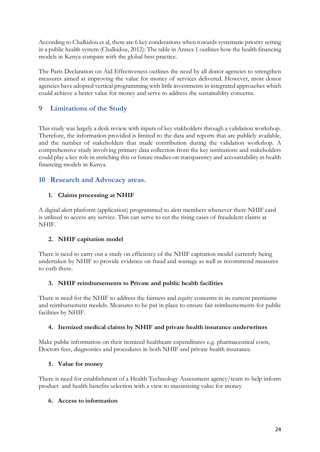According to Chalkidou et al, there are 6 key conderations when towards systematic priority setting in a public health system (Chalkidou, 2012): The table in Annex 1 outlines how the health financing models in Kenya compare with the global best practice.

The Paris Declaration on Aid Effectiveness outlines the need by all donor agencies to strengthen measures aimed at improving the value for money of services delivered. However, most donor agencies have adopted vertical programming with little investments in integrated approaches which could achieve a better value for money and serve to address the sustainablity concerns.

## <span id="page-24-0"></span>**9 Limitations of the Study**

This study was largely a desk review with inputs of key stakholders through a validation workshop. Therefore, the information provided is limited to the data and reports that are publicly available, and the number of stakeholders that made contribution during the validation workshop. A comprehensive study involving primary data collection from the key institutions and stakeholders could play a key role in enriching this or future studies on transparency and accountability in health financing models in Kenya.

## <span id="page-24-1"></span>**10 Research and Advocacy areas.**

#### **1. Claims processing at NHIF**

A digital alert platform (application) programmed to alert members whenever there NHIF card is utilized to access any service. This can serve to cut the rising cases of fraudulent claims at NHIF.

### **2. NHIF capitation model**

There is need to carry out a study on efficiency of the NHIF capitation model currently being undertaken by NHIF to provide evidence on fraud and wastage as well as recommend measures to curb these.

#### **3. NHIF reimbursements to Private and public health facilities**

There is need for the NHIF to address the fairness and equity concerns in its current premiums and reimbursement models. Measures to be put in place to ensure fair reimbursements for public facilities by NHIF.

#### **4. Itemized medical claims by NHIF and private health insurance underwriters**

Make public information on their itemized healthcare expenditures e.g. pharmaceutical costs, Doctors fees, diagnostics and procedures in both NHIF and private health insurance.

#### **5. Value for money**

There is need for establishment of a Health Technology Assessment agency/team to help inform product and health benefits selection with a view to maximizing value for money

#### **6. Access to information**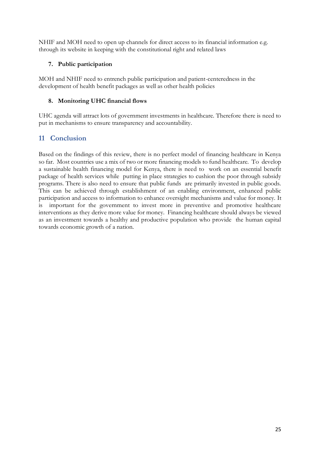NHIF and MOH need to open up channels for direct access to its financial information e.g. through its website in keeping with the constitutional right and related laws

#### **7. Public participation**

MOH and NHIF need to entrench public participation and patient-centeredness in the development of health benefit packages as well as other health policies

#### **8. Monitoring UHC financial flows**

UHC agenda will attract lots of government investments in healthcare. Therefore there is need to put in mechanisms to ensure transparency and accountability.

## <span id="page-25-0"></span>**11 Conclusion**

Based on the findings of this review, there is no perfect model of financing healthcare in Kenya so far. Most countries use a mix of two or more financing models to fund healthcare. To develop a sustainable health financing model for Kenya, there is need to work on an essential benefit package of health services while putting in place strategies to cushion the poor through subsidy programs. There is also need to ensure that public funds are primarily invested in public goods. This can be achieved through establishment of an enabling environment, enhanced public participation and access to information to enhance oversight mechanisms and value for money. It is important for the government to invest more in preventive and promotive healthcare interventions as they derive more value for money. Financing healthcare should always be viewed as an investment towards a healthy and productive population who provide the human capital towards economic growth of a nation.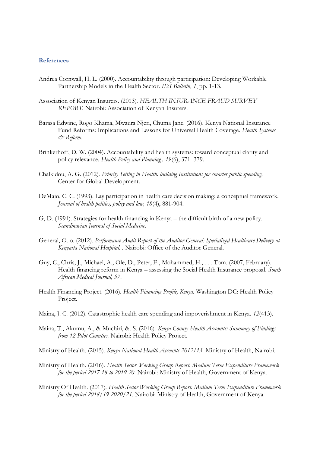#### <span id="page-26-0"></span>**References**

- Andrea Cornwall, H. L. (2000). Accountability through participation: Developing Workable Partnership Models in the Health Sector. *IDS Bulletin, 1*, pp. 1-13.
- Association of Kenyan Insurers. (2013). *HEALTH INSURANCE FRAUD SURVEY REPORT.* Nairobi: Association of Kenyan Insurers.
- Barasa Edwine, Rogo Khama, Mwaura Njeri, Chuma Jane. (2016). Kenya National Insurance Fund Reforms: Implications and Lessons for Universal Health Coverage. *Health Systems & Reform*.
- Brinkerhoff, D. W. (2004). Accountability and health systems: toward conceptual clarity and policy relevance. *Health Policy and Planning , 19*(6), 371–379.
- Chalkidou, A. G. (2012). *Priority Setting in Health: building Institutions for smarter public spending.* Center for Global Development.
- DeMaio, C. C. (1993). Lay participation in health care decision making: a conceptual framework. *Journal of health politics, policy and law, 18*(4), 881-904.
- G, D. (1991). Strategies for health financing in Kenya the difficult birth of a new policy. *Scandinavian Journal of Social Medicine*.
- General, O. o. (2012). *Performance Audit Report of the Auditor-General: Specialized Healthcare Delivery at Kenyatta National Hospital. .* Nairobi: Office of the Auditor General.
- Guy, C., Chris, J., Michael, A., Ole, D., Peter, E., Mohammed, H., . . . Tom. (2007, February). Health financing reform in Kenya – assessing the Social Health Insurance proposal. *South African Medical Journal, 97*.
- Health Financing Project. (2016). *Health Financing Profile, Kenya.* Washington DC: Health Policy Project.
- Maina, J. C. (2012). Catastrophic health care spending and impoverishment in Kenya. *12*(413).
- Maina, T., Akumu, A., & Muchiri, &. S. (2016). *Kenya County Health Accounts: Summary of Findings from 12 Pilot Counties.* Nairobi: Health Policy Project.

Ministry of Health. (2015). *Kenya National Health Accounts 2012/13.* Ministry of Health, Nairobi.

- Ministry of Health. (2016). *Health Sector Working Group Report. Medium Term Expenditure Framework for the period 2017-18 to 2019-20.* Nairobi: Ministry of Health, Government of Kenya.
- Ministry Of Health. (2017). *Health Sector Working Group Report. Medium Term Expenditure Framework for the period 2018/19-2020/21.* Nairobi: Ministry of Health, Government of Kenya.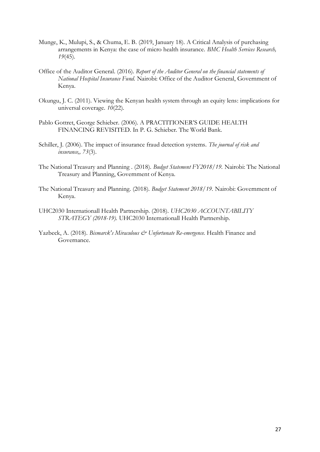- Munge, K., Mulupi, S., & Chuma, E. B. (2019, January 18). A Critical Analysis of purchasing arrangements in Kenya: the case of micro health insurance. *BMC Health Services Research, 19*(45).
- Office of the Auditor General. (2016). *Report of the Auditor General on the financial statements of National Hospital Insurance Fund.* Nairobi: Office of the Auditor General, Government of Kenya.
- Okungu, J. C. (2011). Viewing the Kenyan health system through an equity lens: implications for universal coverage. *10*(22).
- Pablo Gottret, George Schieber. (2006). A PRACTITIONER'S GUIDE HEALTH FINANCING REVISITED. In P. G. Schieber. The World Bank.
- Schiller, J. (2006). The impact of insurance fraud detection systems. *The journal of risk and insurance,, 73*(3).
- The National Treasury and Planning . (2018). *Budget Statement FY2018/19.* Nairobi: The National Treasury and Planning, Government of Kenya.
- The National Treasury and Planning. (2018). *Budget Statement 2018/19.* Nairobi: Government of Kenya.
- UHC2030 Internationall Health Partnership. (2018). *UHC2030 ACCOUNTABILITY STRATEGY (2018-19).* UHC2030 Internationall Health Partnership.
- Yazbeck, A. (2018). *Bismarck's Miraculous & Unfortunate Re-emergence*. Health Finance and Governance.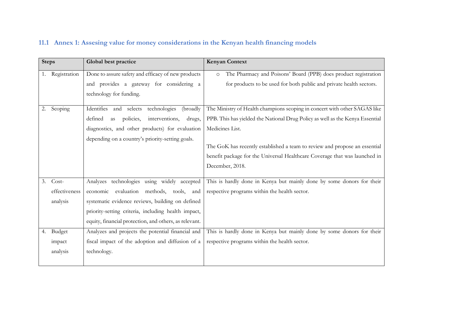<span id="page-28-0"></span>

| <b>Steps</b> |               | Global best practice                                   | <b>Kenyan Context</b>                                                         |
|--------------|---------------|--------------------------------------------------------|-------------------------------------------------------------------------------|
|              | Registration  | Done to assure safety and efficacy of new products     | The Pharmacy and Poisons' Board (PPB) does product registration<br>$\circ$    |
|              |               | and provides a gateway for considering a               | for products to be used for both public and private health sectors.           |
|              |               | technology for funding.                                |                                                                               |
| 2.           | Scoping       | Identifies and selects<br>technologies<br>(broadly     | The Ministry of Health champions scoping in concert with other SAGAS like     |
|              |               | defined<br>policies,<br>interventions,<br>drugs,<br>as | PPB. This has yielded the National Drug Policy as well as the Kenya Essential |
|              |               | diagnostics, and other products) for evaluation        | Medicines List.                                                               |
|              |               | depending on a country's priority-setting goals.       |                                                                               |
|              |               |                                                        | The GoK has recently established a team to review and propose an essential    |
|              |               |                                                        | benefit package for the Universal Healthcare Coverage that was launched in    |
|              |               |                                                        | December, 2018.                                                               |
| 3.           | Cost-         | Analyzes technologies using widely accepted            | This is hardly done in Kenya but mainly done by some donors for their         |
|              | effectiveness | evaluation methods, tools,<br>economic<br>and          | respective programs within the health sector.                                 |
|              | analysis      | systematic evidence reviews, building on defined       |                                                                               |
|              |               | priority-setting criteria, including health impact,    |                                                                               |
|              |               | equity, financial protection, and others, as relevant. |                                                                               |
| 4.           | Budget        | Analyzes and projects the potential financial and      | This is hardly done in Kenya but mainly done by some donors for their         |
|              | impact        | fiscal impact of the adoption and diffusion of a       | respective programs within the health sector.                                 |
|              | analysis      | technology.                                            |                                                                               |
|              |               |                                                        |                                                                               |

## **11.1 Annex 1: Assesing value for money considerations in the Kenyan health financing models**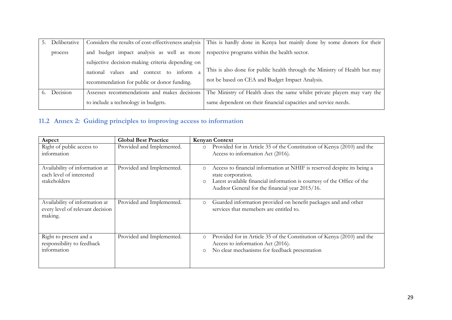| Deliberative |                                                                                          | Considers the results of cost-effectiveness analysis   This is hardly done in Kenya but mainly done by some donors for their |
|--------------|------------------------------------------------------------------------------------------|------------------------------------------------------------------------------------------------------------------------------|
| process      | and budget impact analysis as well as more respective programs within the health sector. |                                                                                                                              |
|              | subjective decision-making criteria depending on                                         |                                                                                                                              |
|              | and context to inform<br>values<br>national                                              | This is also done for public health through the Ministry of Health but may                                                   |
|              | recommendation for public or donor funding.                                              | not be based on CEA and Budget Impact Analysis.                                                                              |
| Decision     | Assesses recommendations and makes decisions                                             | The Ministry of Health does the same whilst private players may vary the                                                     |
|              | to include a technology in budgets.                                                      | same dependent on their financial capacities and service needs.                                                              |

# **11.2 Annex 2: Guiding principles to improving access to information**

<span id="page-29-0"></span>

| Aspect                                                                        | <b>Global Best Practice</b> | <b>Kenyan Context</b>                                                                                                                                                                                                                             |
|-------------------------------------------------------------------------------|-----------------------------|---------------------------------------------------------------------------------------------------------------------------------------------------------------------------------------------------------------------------------------------------|
| Right of public access to<br>information                                      | Provided and Implemented.   | Provided for in Article 35 of the Constitution of Kenya (2010) and the<br>$\circ$<br>Access to information Act (2016).                                                                                                                            |
| Availability of information at<br>each level of interested<br>stakeholders    | Provided and Implemented.   | Access to financial information at NHIF is reserved despite its being a<br>$\circ$<br>state corporation.<br>Latest available financial information is courtesy of the Office of the<br>$\circ$<br>Auditor General for the financial year 2015/16. |
| Availability of information at<br>every level of relevant decision<br>making. | Provided and Implemented.   | Guarded information provided on benefit packages and and other<br>$\circ$<br>services that memebers are entitled to.                                                                                                                              |
| Right to present and a<br>responsibility to feedback<br>information           | Provided and Implemented.   | Provided for in Article 35 of the Constitution of Kenya (2010) and the<br>$\circ$<br>Access to information Act (2016).<br>No clear mechanisms for feedback presentation<br>$\circ$                                                                |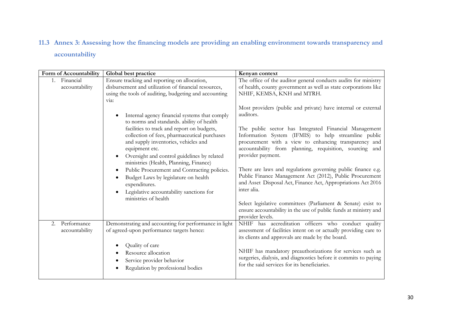## **11.3 Annex 3: Assessing how the financing models are providing an enabling environment towards transparency and accountability**

<span id="page-30-0"></span>

| Form of Accountability              | Global best practice                                                                                                                                                                                                                                                                                                                                                                                                                                                                                                     | Kenyan context                                                                                                                                                                                                                                                                                                                                                                                                                                                                                                                                                                                                  |
|-------------------------------------|--------------------------------------------------------------------------------------------------------------------------------------------------------------------------------------------------------------------------------------------------------------------------------------------------------------------------------------------------------------------------------------------------------------------------------------------------------------------------------------------------------------------------|-----------------------------------------------------------------------------------------------------------------------------------------------------------------------------------------------------------------------------------------------------------------------------------------------------------------------------------------------------------------------------------------------------------------------------------------------------------------------------------------------------------------------------------------------------------------------------------------------------------------|
| Financial<br>1.<br>accountability   | Ensure tracking and reporting on allocation,<br>disbursement and utilization of financial resources,<br>using the tools of auditing, budgeting and accounting<br>via:                                                                                                                                                                                                                                                                                                                                                    | The office of the auditor general conducts audits for ministry<br>of health, county government as well as state corporations like<br>NHIF, KEMSA, KNH and MTRH.                                                                                                                                                                                                                                                                                                                                                                                                                                                 |
|                                     | Internal agency financial systems that comply<br>to norms and standards. ability of health<br>facilities to track and report on budgets,<br>collection of fees, pharmaceutical purchases<br>and supply inventories, vehicles and<br>equipment etc.<br>Oversight and control guidelines by related<br>ministries (Health, Planning, Finance)<br>Public Procurement and Contracting policies.<br>Budget Laws by legislature on health<br>expenditures.<br>Legislative accountability sanctions for<br>ministries of health | Most providers (public and private) have internal or external<br>auditors.<br>The public sector has Integrated Financial Management<br>Information System (IFMIS) to help streamline public<br>procurement with a view to enhancing transparency and<br>accountability from planning, requisition, sourcing and<br>provider payment.<br>There are laws and regulations governing public finance e.g.<br>Public Finance Management Act (2012), Public Procurement<br>and Asset Disposal Act, Finance Act, Appropriations Act 2016<br>inter alia.<br>Select legislative committees (Parliament & Senate) exist to |
|                                     |                                                                                                                                                                                                                                                                                                                                                                                                                                                                                                                          | ensure accountability in the use of public funds at ministry and<br>provider levels.                                                                                                                                                                                                                                                                                                                                                                                                                                                                                                                            |
| Performance<br>2.<br>accountability | Demonstrating and accounting for performance in light<br>of agreed-upon performance targets hence:                                                                                                                                                                                                                                                                                                                                                                                                                       | NHIF has accreditation officers who conduct quality<br>assessment of facilities intent on or actually providing care to<br>its clients and approvals are made by the board.                                                                                                                                                                                                                                                                                                                                                                                                                                     |
|                                     | Quality of care<br>Resource allocation<br>Service provider behavior<br>Regulation by professional bodies                                                                                                                                                                                                                                                                                                                                                                                                                 | NHIF has mandatory preauthorizations for services such as<br>surgeries, dialysis, and diagnostics before it commits to paying<br>for the said services for its beneficiaries.                                                                                                                                                                                                                                                                                                                                                                                                                                   |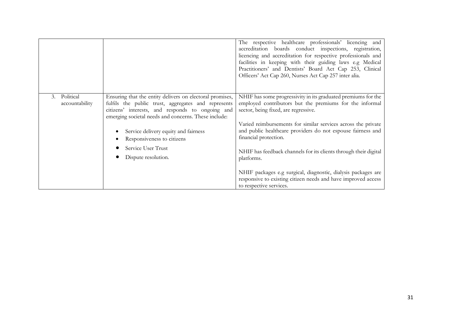|                                   |                                                                                                                                                                                                                             | The respective healthcare professionals' licencing and<br>accreditation boards conduct inspections, registration,<br>licencing and accreditation for respective professionals and<br>facilities in keeping with their guiding laws e.g Medical<br>Practitioners' and Dentists' Board Act Cap 253, Clinical<br>Officers' Act Cap 260, Nurses Act Cap 257 inter alia. |
|-----------------------------------|-----------------------------------------------------------------------------------------------------------------------------------------------------------------------------------------------------------------------------|---------------------------------------------------------------------------------------------------------------------------------------------------------------------------------------------------------------------------------------------------------------------------------------------------------------------------------------------------------------------|
| Political<br>3.<br>accountability | Ensuring that the entity delivers on electoral promises,<br>fulfils the public trust, aggregates and represents<br>citizens' interests, and responds to ongoing and<br>emerging societal needs and concerns. These include: | NHIF has some progressivity in its graduated premiums for the<br>employed contributors but the premiums for the informal<br>sector, being fixed, are regressive.                                                                                                                                                                                                    |
|                                   | Service delivery equity and fairness<br>Responsiveness to citizens                                                                                                                                                          | Varied reimbursements for similar services across the private<br>and public healthcare providers do not espouse fairness and<br>financial protection.                                                                                                                                                                                                               |
|                                   | Service User Trust<br>Dispute resolution.                                                                                                                                                                                   | NHIF has feedback channels for its clients through their digital<br>platforms.                                                                                                                                                                                                                                                                                      |
|                                   |                                                                                                                                                                                                                             | NHIF packages e.g surgical, diagnostic, dialysis packages are<br>responsive to existing citizen needs and have improved access<br>to respective services.                                                                                                                                                                                                           |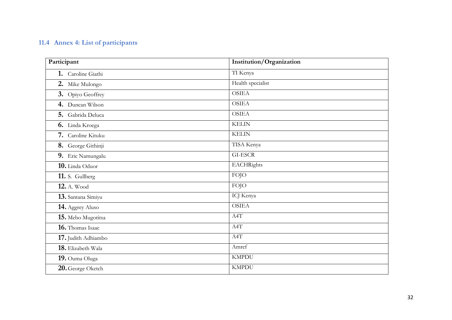# **11.4 Annex 4: List of participants**

<span id="page-32-0"></span>

| Participant         | Institution/Organization |  |
|---------------------|--------------------------|--|
| 1. Caroline Giathi  | TI Kenya                 |  |
| 2. Mike Mulongo     | Health specialist        |  |
| 3. Opiyo Geoffrey   | <b>OSIEA</b>             |  |
| 4. Duncan Wilson    | <b>OSIEA</b>             |  |
| 5. Gabrida Deluca   | <b>OSIEA</b>             |  |
| 6. Linda Kroega     | <b>KELIN</b>             |  |
| 7. Caroline Kituku  | <b>KELIN</b>             |  |
| 8. George Githinji  | TISA Kenya               |  |
| 9. Eric Namungalu   | <b>GI-ESCR</b>           |  |
| 10. Linda Oduor     | <b>EACHRights</b>        |  |
| 11. S. Gullberg     | <b>FOJO</b>              |  |
| <b>12.</b> A. Wood  | <b>FOJO</b>              |  |
| 13. Santana Simiyu  | ICJ Kenya                |  |
| 14. Aggrey Aluso    | <b>OSIEA</b>             |  |
| 15. Mebo Mugotitsa  | A4T                      |  |
| 16. Thomas Isaac    | A4T                      |  |
| 17. Judith Adhiambo | A4T                      |  |
| 18. Elizabeth Wala  | Amref                    |  |
| 19. Ouma Oluga      | <b>KMPDU</b>             |  |
| 20. George Oketch   | <b>KMPDU</b>             |  |